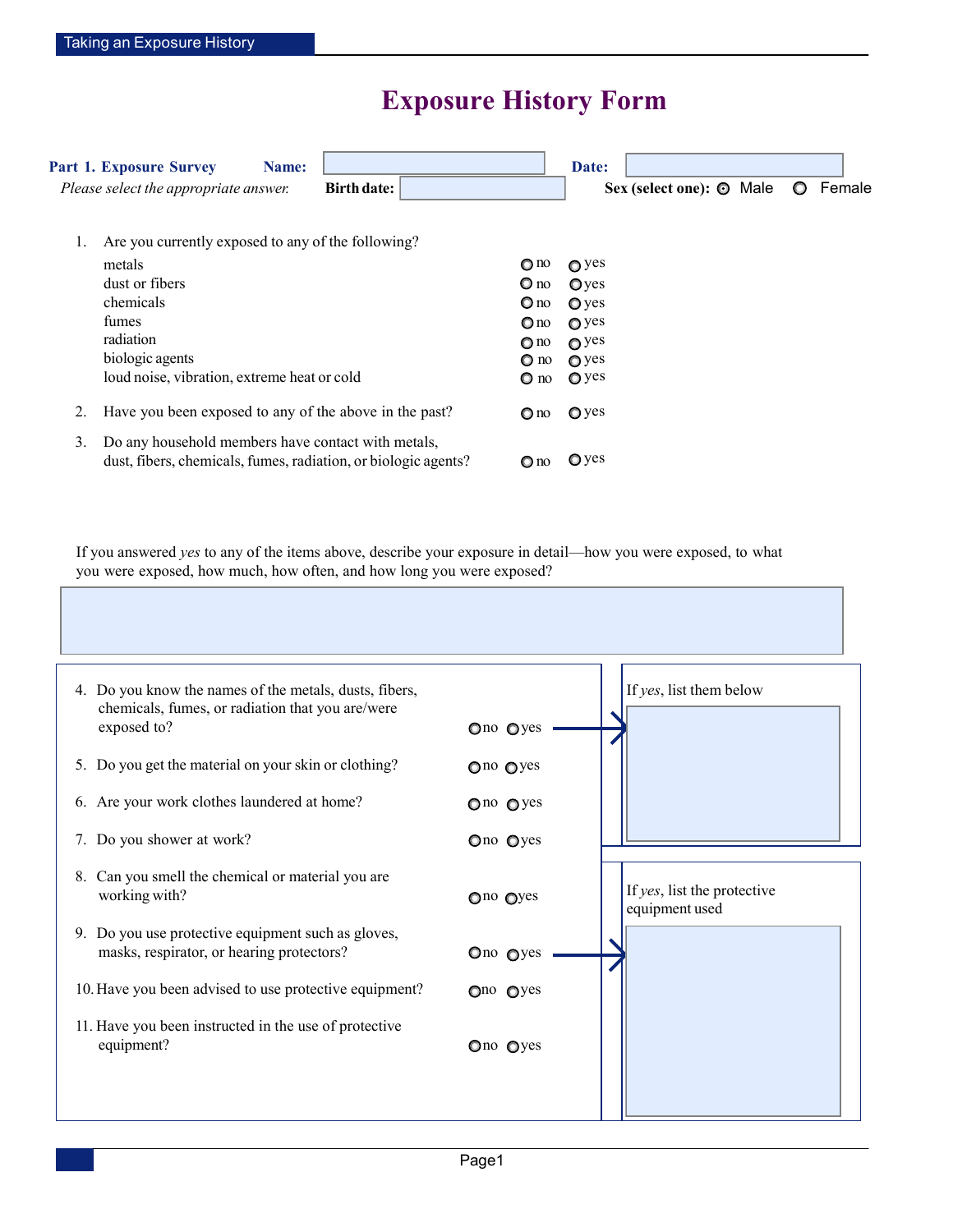## **Exposure History Form**

|    | <b>Part 1. Exposure Survey</b><br>Name:<br>Please select the appropriate answer.                                     | <b>Birth date:</b> |                 | Date:<br>Sex (select one): $\odot$ Male | Female<br>$\circ$ |
|----|----------------------------------------------------------------------------------------------------------------------|--------------------|-----------------|-----------------------------------------|-------------------|
| 1. | Are you currently exposed to any of the following?                                                                   |                    |                 |                                         |                   |
|    | metals                                                                                                               |                    | $\mathbf{O}$ no | $\bullet$ yes                           |                   |
|    | dust or fibers                                                                                                       |                    | $\mathbf{O}$ no | O <sub>yes</sub>                        |                   |
|    | chemicals                                                                                                            |                    | $\mathbf{O}$ no | $\mathbf{Q}$ yes                        |                   |
|    | fumes                                                                                                                |                    | $\mathbf{O}$ no | $\mathbf{Q}$ yes                        |                   |
|    | radiation                                                                                                            |                    | $\bigcirc$ no   | $\mathbf{Q}$ yes                        |                   |
|    | biologic agents                                                                                                      |                    | $\Omega$ no     | $\bigcirc$ yes                          |                   |
|    | loud noise, vibration, extreme heat or cold                                                                          |                    | O no            | $\mathbf{Q}$ yes                        |                   |
| 2. | Have you been exposed to any of the above in the past?                                                               |                    | $\mathbf{O}$ no | $\bullet$ yes                           |                   |
| 3. | Do any household members have contact with metals,<br>dust, fibers, chemicals, fumes, radiation, or biologic agents? |                    | $\mathbf{O}$ no | $\mathbf{Q}$ yes                        |                   |

If you answered *yes* to any of the items above, describe your exposure in detail—how you were exposed, to what you were exposed, how much, how often, and how long you were exposed?

| 4. Do you know the names of the metals, dusts, fibers,<br>chemicals, fumes, or radiation that you are/were<br>exposed to?<br>5. Do you get the material on your skin or clothing?<br>6. Are your work clothes laundered at home? | Ono Oyes<br>$Q$ no $Q$ yes<br>$Q$ no $Q$ yes | If yes, list them below                       |
|----------------------------------------------------------------------------------------------------------------------------------------------------------------------------------------------------------------------------------|----------------------------------------------|-----------------------------------------------|
| 7. Do you shower at work?                                                                                                                                                                                                        | Ono Oyes                                     |                                               |
| 8. Can you smell the chemical or material you are<br>working with?                                                                                                                                                               | Ono Oyes                                     | If yes, list the protective<br>equipment used |
| 9. Do you use protective equipment such as gloves,<br>masks, respirator, or hearing protectors?                                                                                                                                  | Ono Oyes                                     |                                               |
| 10. Have you been advised to use protective equipment?                                                                                                                                                                           | $Qno$ $Qyes$                                 |                                               |
| 11. Have you been instructed in the use of protective<br>equipment?                                                                                                                                                              | Ono Oyes                                     |                                               |
|                                                                                                                                                                                                                                  |                                              |                                               |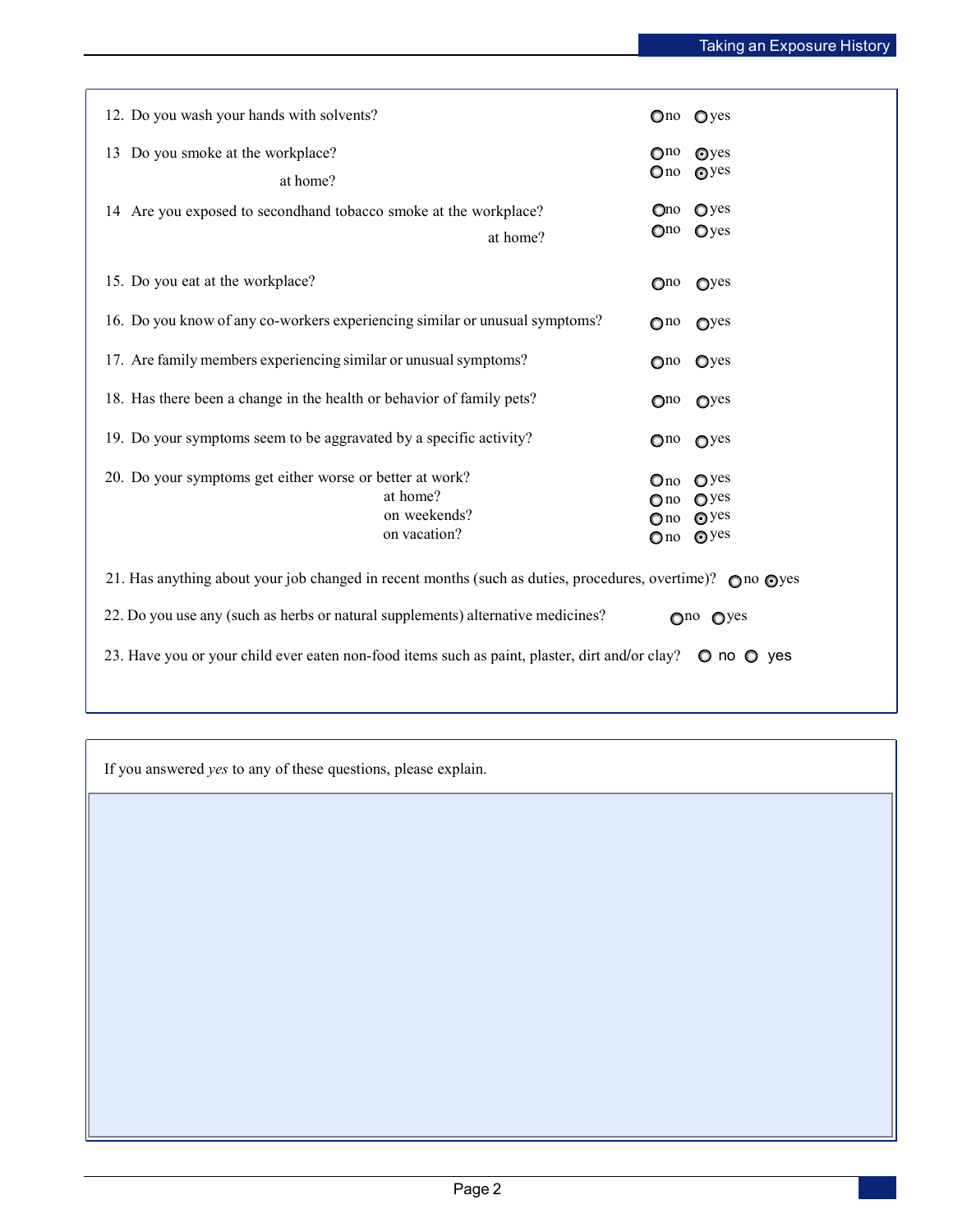| 12. Do you wash your hands with solvents?                                                                                     | Ono Oyes                                                                                                                        |  |  |  |  |  |
|-------------------------------------------------------------------------------------------------------------------------------|---------------------------------------------------------------------------------------------------------------------------------|--|--|--|--|--|
| 13 Do you smoke at the workplace?<br>at home?                                                                                 | $\bigcirc$ <sup>no</sup><br>Oyes<br>$\odot$ yes<br>$\mathbf{O}$ no                                                              |  |  |  |  |  |
| 14 Are you exposed to secondhand tobacco smoke at the workplace?<br>at home?                                                  | $Q$ yes<br>Qno<br>$Q$ yes<br>$\mathbb{O}^{no}$                                                                                  |  |  |  |  |  |
| 15. Do you eat at the workplace?                                                                                              | Qyes<br>$\mathbf{O}^{\text{no}}$                                                                                                |  |  |  |  |  |
| 16. Do you know of any co-workers experiencing similar or unusual symptoms?                                                   | $\mathbb{O}^{10}$<br>Q <sub>yes</sub>                                                                                           |  |  |  |  |  |
| 17. Are family members experiencing similar or unusual symptoms?                                                              | Oyes<br>$\bigcirc$ <sup>no</sup>                                                                                                |  |  |  |  |  |
| 18. Has there been a change in the health or behavior of family pets?                                                         | O <sub>Y</sub><br>$\mathbf{O}^{\text{no}}$                                                                                      |  |  |  |  |  |
| 19. Do your symptoms seem to be aggravated by a specific activity?                                                            | $Q$ no $Q$ yes                                                                                                                  |  |  |  |  |  |
| 20. Do your symptoms get either worse or better at work?<br>at home?<br>on weekends?<br>on vacation?                          | $Q$ yes<br>$\mathbf{O}$ no<br>$\mathbf{O}$ yes<br>$\bigcirc$ no<br>$\odot$ yes<br>$\bigcirc$ no<br>$\odot$ yes<br>$\bigcirc$ no |  |  |  |  |  |
| 21. Has anything about your job changed in recent months (such as duties, procedures, overtime)? $\bigcirc$ no $\bigcirc$ yes |                                                                                                                                 |  |  |  |  |  |
| 22. Do you use any (such as herbs or natural supplements) alternative medicines?                                              | Ono Oyes                                                                                                                        |  |  |  |  |  |
| 23. Have you or your child ever eaten non-food items such as paint, plaster, dirt and/or clay? $\bullet$ no $\bullet$ yes     |                                                                                                                                 |  |  |  |  |  |

If you answered *yes* to any of these questions, please explain.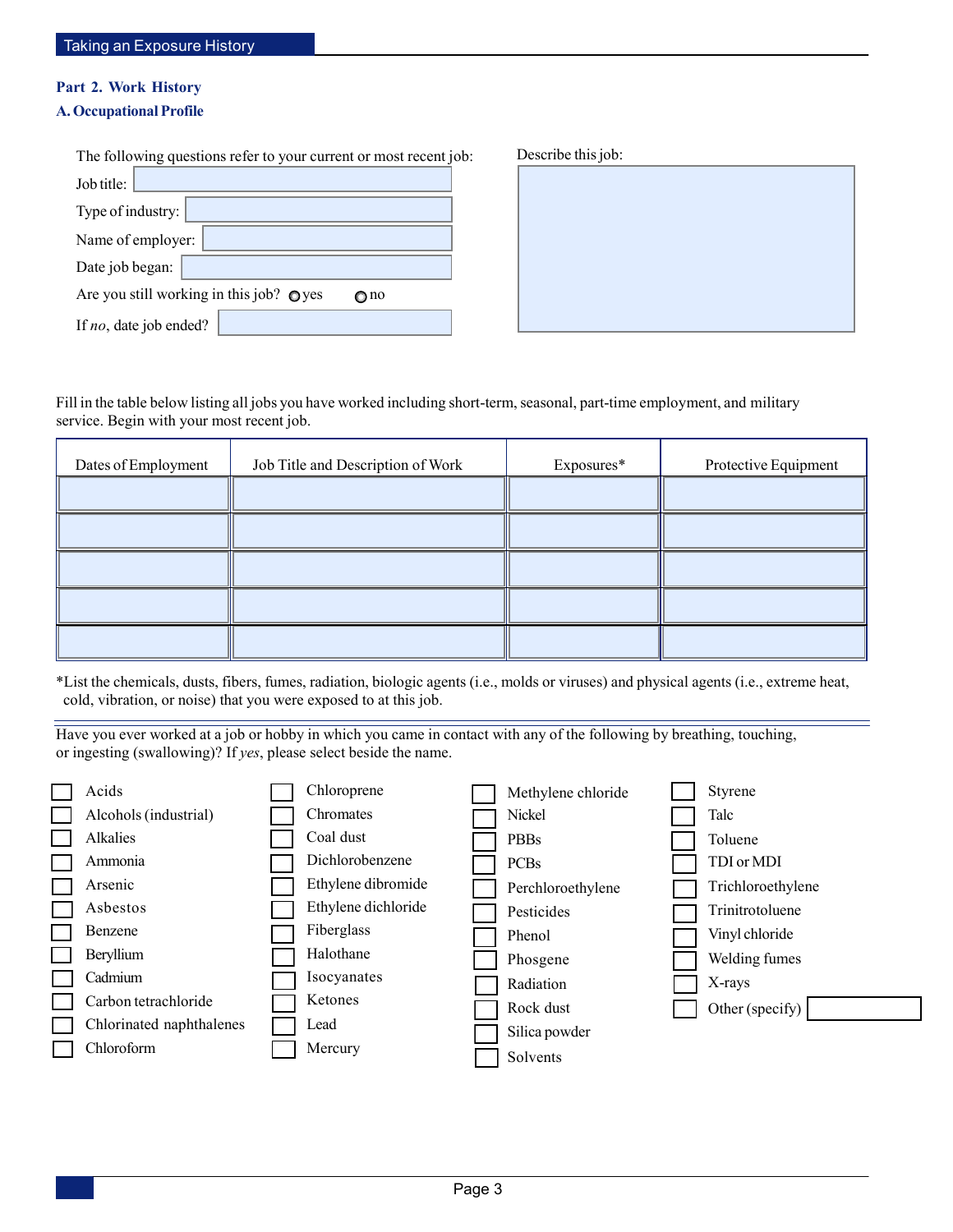## **Part 2. Work History**

## **A. Occupational Profile**

| The following questions refer to your current or most recent job: | Describe this job: |
|-------------------------------------------------------------------|--------------------|
| Job title:                                                        |                    |
| Type of industry:                                                 |                    |
| Name of employer:                                                 |                    |
| Date job began:                                                   |                    |
| Are you still working in this job? $\bullet$ yes<br>$\bigcirc$ no |                    |
| If no, date job ended?                                            |                    |

Fill in the table below listing all jobs you have worked including short-term, seasonal, part-time employment, and military service. Begin with your most recent job.

| Dates of Employment | Job Title and Description of Work | Exposures* | Protective Equipment |
|---------------------|-----------------------------------|------------|----------------------|
|                     |                                   |            |                      |
|                     |                                   |            |                      |
|                     |                                   |            |                      |
|                     |                                   |            |                      |
|                     |                                   |            |                      |

\*List the chemicals, dusts, fibers, fumes, radiation, biologic agents (i.e., molds or viruses) and physical agents (i.e., extreme heat, cold, vibration, or noise) that you were exposed to at this job.

Have you ever worked at a job or hobby in which you came in contact with any of the following by breathing, touching, or ingesting (swallowing)? If *yes*, please select beside the name.

| Acids                    | Chloroprene         | Methylene chloride | <b>Styrene</b>    |
|--------------------------|---------------------|--------------------|-------------------|
| Alcohols (industrial)    | Chromates           | Nickel             | Talc              |
| Alkalies                 | Coal dust           | <b>PBBs</b>        | Toluene           |
| Ammonia                  | Dichlorobenzene     | <b>PCBs</b>        | TDI or MDI        |
| Arsenic                  | Ethylene dibromide  | Perchloroethylene  | Trichloroethylene |
| Asbestos                 | Ethylene dichloride | Pesticides         | Trinitrotoluene   |
| Benzene                  | Fiberglass          | Phenol             | Vinyl chloride    |
| Beryllium                | Halothane           | Phosgene           | Welding fumes     |
| Cadmium                  | Isocyanates         | Radiation          | X-rays            |
| Carbon tetrachloride     | Ketones             | Rock dust          | Other (specify)   |
| Chlorinated naphthalenes | Lead                | Silica powder      |                   |
| Chloroform               | Mercury             | Solvents           |                   |